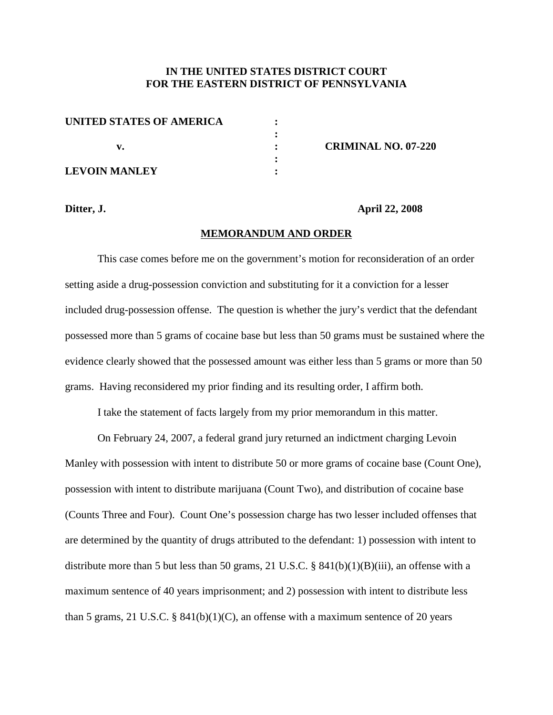## **IN THE UNITED STATES DISTRICT COURT FOR THE EASTERN DISTRICT OF PENNSYLVANIA**

| UNITED STATES OF AMERICA |                            |
|--------------------------|----------------------------|
|                          |                            |
|                          | <b>CRIMINAL NO. 07-220</b> |
|                          |                            |
| <b>LEVOIN MANLEY</b>     |                            |

**Ditter, J. April 22, 2008**

## **MEMORANDUM AND ORDER**

This case comes before me on the government's motion for reconsideration of an order setting aside a drug-possession conviction and substituting for it a conviction for a lesser included drug-possession offense. The question is whether the jury's verdict that the defendant possessed more than 5 grams of cocaine base but less than 50 grams must be sustained where the evidence clearly showed that the possessed amount was either less than 5 grams or more than 50 grams. Having reconsidered my prior finding and its resulting order, I affirm both.

I take the statement of facts largely from my prior memorandum in this matter.

On February 24, 2007, a federal grand jury returned an indictment charging Levoin Manley with possession with intent to distribute 50 or more grams of cocaine base (Count One), possession with intent to distribute marijuana (Count Two), and distribution of cocaine base (Counts Three and Four). Count One's possession charge has two lesser included offenses that are determined by the quantity of drugs attributed to the defendant: 1) possession with intent to distribute more than 5 but less than 50 grams, 21 U.S.C. § 841(b)(1)(B)(iii), an offense with a maximum sentence of 40 years imprisonment; and 2) possession with intent to distribute less than 5 grams, 21 U.S.C. §  $841(b)(1)(C)$ , an offense with a maximum sentence of 20 years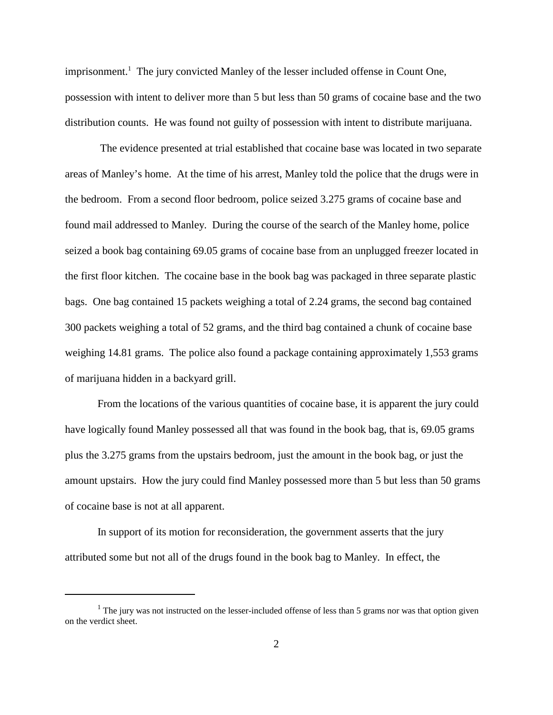imprisonment. <sup>1</sup> The jury convicted Manley of the lesser included offense in Count One, possession with intent to deliver more than 5 but less than 50 grams of cocaine base and the two distribution counts. He was found not guilty of possession with intent to distribute marijuana.

The evidence presented at trial established that cocaine base was located in two separate areas of Manley's home. At the time of his arrest, Manley told the police that the drugs were in the bedroom. From a second floor bedroom, police seized 3.275 grams of cocaine base and found mail addressed to Manley. During the course of the search of the Manley home, police seized a book bag containing 69.05 grams of cocaine base from an unplugged freezer located in the first floor kitchen. The cocaine base in the book bag was packaged in three separate plastic bags. One bag contained 15 packets weighing a total of 2.24 grams, the second bag contained 300 packets weighing a total of 52 grams, and the third bag contained a chunk of cocaine base weighing 14.81 grams. The police also found a package containing approximately 1,553 grams of marijuana hidden in a backyard grill.

From the locations of the various quantities of cocaine base, it is apparent the jury could have logically found Manley possessed all that was found in the book bag, that is, 69.05 grams plus the 3.275 grams from the upstairs bedroom, just the amount in the book bag, or just the amount upstairs. How the jury could find Manley possessed more than 5 but less than 50 grams of cocaine base is not at all apparent.

In support of its motion for reconsideration, the government asserts that the jury attributed some but not all of the drugs found in the book bag to Manley. In effect, the

 $<sup>1</sup>$  The jury was not instructed on the lesser-included offense of less than 5 grams nor was that option given</sup> on the verdict sheet.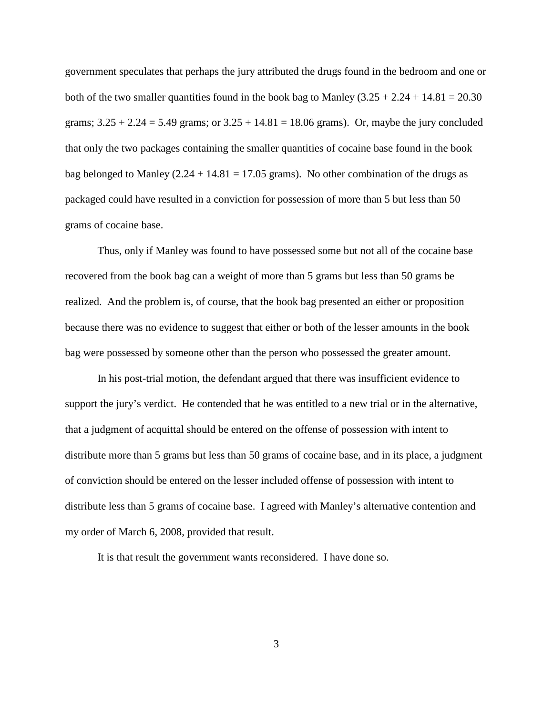government speculates that perhaps the jury attributed the drugs found in the bedroom and one or both of the two smaller quantities found in the book bag to Manley  $(3.25 + 2.24 + 14.81 = 20.30$ grams;  $3.25 + 2.24 = 5.49$  grams; or  $3.25 + 14.81 = 18.06$  grams). Or, maybe the jury concluded that only the two packages containing the smaller quantities of cocaine base found in the book bag belonged to Manley  $(2.24 + 14.81 = 17.05$  grams). No other combination of the drugs as packaged could have resulted in a conviction for possession of more than 5 but less than 50 grams of cocaine base.

Thus, only if Manley was found to have possessed some but not all of the cocaine base recovered from the book bag can a weight of more than 5 grams but less than 50 grams be realized. And the problem is, of course, that the book bag presented an either or proposition because there was no evidence to suggest that either or both of the lesser amounts in the book bag were possessed by someone other than the person who possessed the greater amount.

In his post-trial motion, the defendant argued that there was insufficient evidence to support the jury's verdict. He contended that he was entitled to a new trial or in the alternative, that a judgment of acquittal should be entered on the offense of possession with intent to distribute more than 5 grams but less than 50 grams of cocaine base, and in its place, a judgment of conviction should be entered on the lesser included offense of possession with intent to distribute less than 5 grams of cocaine base. I agreed with Manley's alternative contention and my order of March 6, 2008, provided that result.

It is that result the government wants reconsidered. I have done so.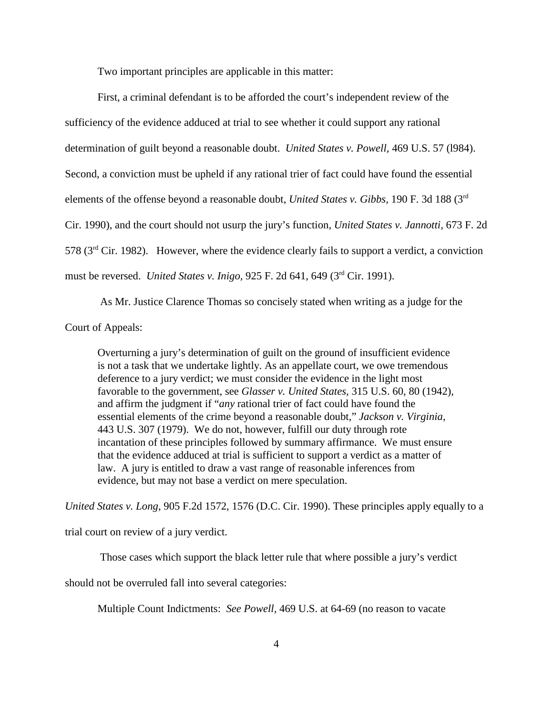Two important principles are applicable in this matter:

First, a criminal defendant is to be afforded the court's independent review of the sufficiency of the evidence adduced at trial to see whether it could support any rational determination of guilt beyond a reasonable doubt. *United States v. Powell,* 469 U.S. 57 (l984). Second, a conviction must be upheld if any rational trier of fact could have found the essential elements of the offense beyond a reasonable doubt, *United States v. Gibbs,* 190 F. 3d 188 (3rd Cir. 1990), and the court should not usurp the jury's function, *United States v. Jannotti,* 673 F. 2d 578 (3rd Cir. 1982). However, where the evidence clearly fails to support a verdict, a conviction must be reversed. *United States v. Inigo,* 925 F. 2d 641, 649 (3rd Cir. 1991).

As Mr. Justice Clarence Thomas so concisely stated when writing as a judge for the Court of Appeals:

Overturning a jury's determination of guilt on the ground of insufficient evidence is not a task that we undertake lightly. As an appellate court, we owe tremendous deference to a jury verdict; we must consider the evidence in the light most favorable to the government, see *Glasser v. United States*, 315 U.S. 60, 80 (1942), and affirm the judgment if "*any* rational trier of fact could have found the essential elements of the crime beyond a reasonable doubt," *Jackson v. Virginia*, 443 U.S. 307 (1979). We do not, however, fulfill our duty through rote incantation of these principles followed by summary affirmance. We must ensure that the evidence adduced at trial is sufficient to support a verdict as a matter of law. A jury is entitled to draw a vast range of reasonable inferences from evidence, but may not base a verdict on mere speculation.

*United States v. Long*, 905 F.2d 1572, 1576 (D.C. Cir. 1990). These principles apply equally to a

trial court on review of a jury verdict.

Those cases which support the black letter rule that where possible a jury's verdict

should not be overruled fall into several categories:

Multiple Count Indictments: *See Powell,* 469 U.S. at 64-69 (no reason to vacate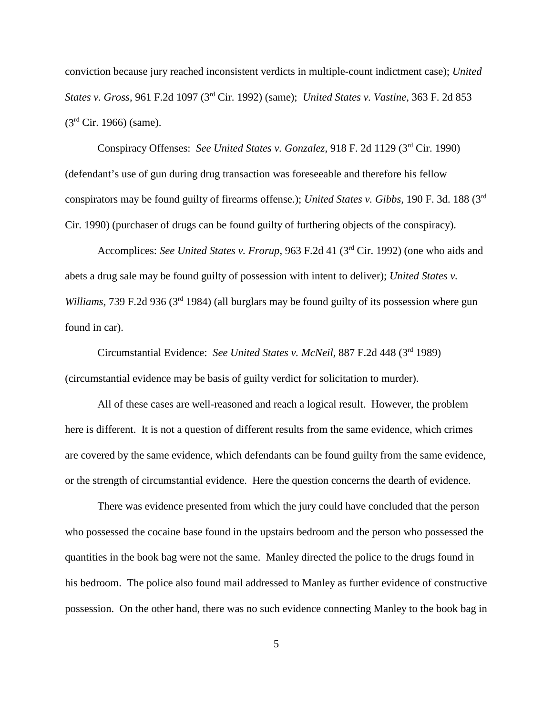conviction because jury reached inconsistent verdicts in multiple-count indictment case); *United States v. Gross,* 961 F.2d 1097 (3rd Cir. 1992) (same); *United States v. Vastine,* 363 F. 2d 853  $(3<sup>rd</sup> Cir. 1966)$  (same).

Conspiracy Offenses: *See United States v. Gonzalez,* 918 F. 2d 1129 (3rd Cir. 1990) (defendant's use of gun during drug transaction was foreseeable and therefore his fellow conspirators may be found guilty of firearms offense.); *United States v. Gibbs,* 190 F. 3d. 188 (3rd Cir. 1990) (purchaser of drugs can be found guilty of furthering objects of the conspiracy).

Accomplices: *See United States v. Frorup,* 963 F.2d 41 (3rd Cir. 1992) (one who aids and abets a drug sale may be found guilty of possession with intent to deliver); *United States v. Williams,* 739 F.2d 936 (3<sup>rd</sup> 1984) (all burglars may be found guilty of its possession where gun found in car).

Circumstantial Evidence: *See United States v. McNeil,* 887 F.2d 448 (3rd 1989) (circumstantial evidence may be basis of guilty verdict for solicitation to murder).

All of these cases are well-reasoned and reach a logical result. However, the problem here is different. It is not a question of different results from the same evidence, which crimes are covered by the same evidence, which defendants can be found guilty from the same evidence, or the strength of circumstantial evidence. Here the question concerns the dearth of evidence.

There was evidence presented from which the jury could have concluded that the person who possessed the cocaine base found in the upstairs bedroom and the person who possessed the quantities in the book bag were not the same. Manley directed the police to the drugs found in his bedroom. The police also found mail addressed to Manley as further evidence of constructive possession. On the other hand, there was no such evidence connecting Manley to the book bag in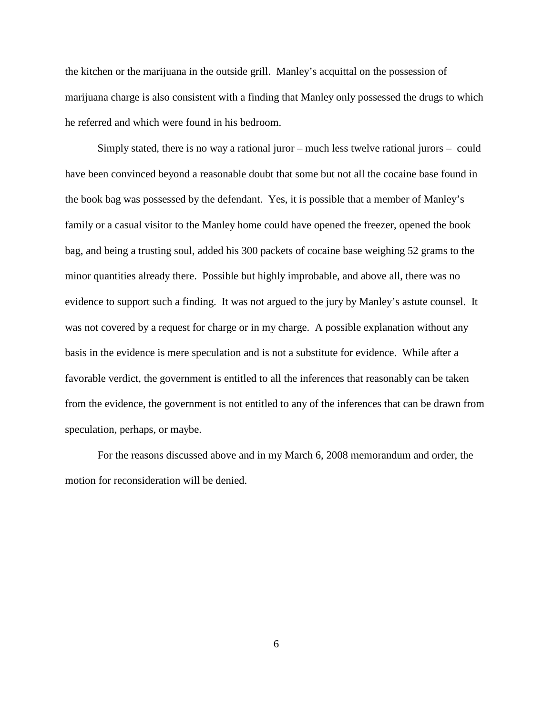the kitchen or the marijuana in the outside grill. Manley's acquittal on the possession of marijuana charge is also consistent with a finding that Manley only possessed the drugs to which he referred and which were found in his bedroom.

Simply stated, there is no way a rational juror – much less twelve rational jurors – could have been convinced beyond a reasonable doubt that some but not all the cocaine base found in the book bag was possessed by the defendant. Yes, it is possible that a member of Manley's family or a casual visitor to the Manley home could have opened the freezer, opened the book bag, and being a trusting soul, added his 300 packets of cocaine base weighing 52 grams to the minor quantities already there. Possible but highly improbable, and above all, there was no evidence to support such a finding. It was not argued to the jury by Manley's astute counsel. It was not covered by a request for charge or in my charge. A possible explanation without any basis in the evidence is mere speculation and is not a substitute for evidence. While after a favorable verdict, the government is entitled to all the inferences that reasonably can be taken from the evidence, the government is not entitled to any of the inferences that can be drawn from speculation, perhaps, or maybe.

For the reasons discussed above and in my March 6, 2008 memorandum and order, the motion for reconsideration will be denied.